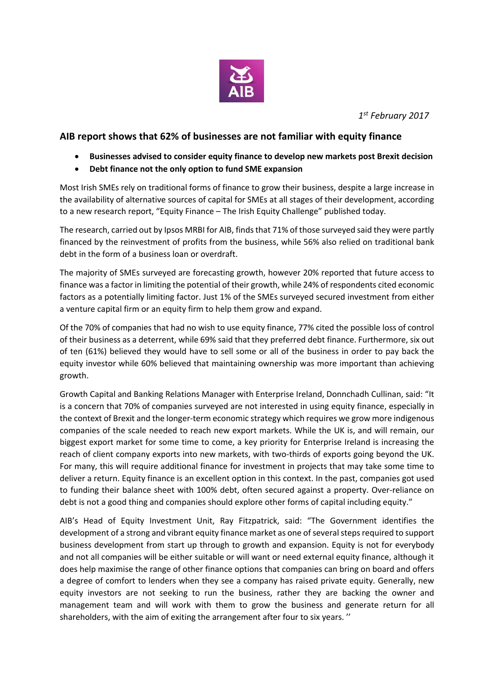

*1 st February 2017*

## **AIB report shows that 62% of businesses are not familiar with equity finance**

- **Businesses advised to consider equity finance to develop new markets post Brexit decision**
- **Debt finance not the only option to fund SME expansion**

Most Irish SMEs rely on traditional forms of finance to grow their business, despite a large increase in the availability of alternative sources of capital for SMEs at all stages of their development, according to a new research report, "Equity Finance – The Irish Equity Challenge" published today.

The research, carried out by Ipsos MRBI for AIB, finds that 71% of those surveyed said they were partly financed by the reinvestment of profits from the business, while 56% also relied on traditional bank debt in the form of a business loan or overdraft.

The majority of SMEs surveyed are forecasting growth, however 20% reported that future access to finance was a factor in limiting the potential of their growth, while 24% of respondents cited economic factors as a potentially limiting factor. Just 1% of the SMEs surveyed secured investment from either a venture capital firm or an equity firm to help them grow and expand.

Of the 70% of companies that had no wish to use equity finance, 77% cited the possible loss of control of their business as a deterrent, while 69% said that they preferred debt finance. Furthermore, six out of ten (61%) believed they would have to sell some or all of the business in order to pay back the equity investor while 60% believed that maintaining ownership was more important than achieving growth.

Growth Capital and Banking Relations Manager with Enterprise Ireland, Donnchadh Cullinan, said: "It is a concern that 70% of companies surveyed are not interested in using equity finance, especially in the context of Brexit and the longer-term economic strategy which requires we grow more indigenous companies of the scale needed to reach new export markets. While the UK is, and will remain, our biggest export market for some time to come, a key priority for Enterprise Ireland is increasing the reach of client company exports into new markets, with two-thirds of exports going beyond the UK. For many, this will require additional finance for investment in projects that may take some time to deliver a return. Equity finance is an excellent option in this context. In the past, companies got used to funding their balance sheet with 100% debt, often secured against a property. Over-reliance on debt is not a good thing and companies should explore other forms of capital including equity."

AIB's Head of Equity Investment Unit, Ray Fitzpatrick, said: "The Government identifies the development of a strong and vibrant equity finance market as one of several steps required to support business development from start up through to growth and expansion. Equity is not for everybody and not all companies will be either suitable or will want or need external equity finance, although it does help maximise the range of other finance options that companies can bring on board and offers a degree of comfort to lenders when they see a company has raised private equity. Generally, new equity investors are not seeking to run the business, rather they are backing the owner and management team and will work with them to grow the business and generate return for all shareholders, with the aim of exiting the arrangement after four to six years. ''